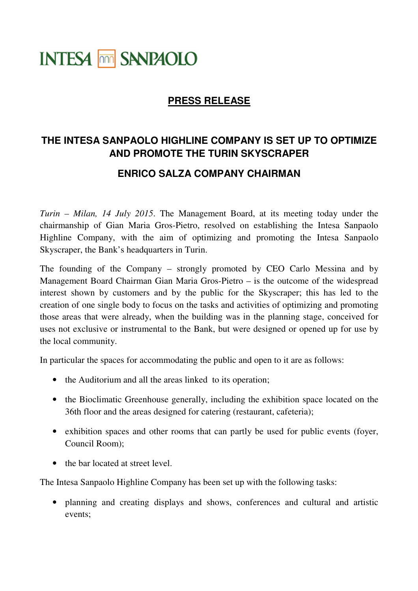## **INTESA MM SANPAOLO**

## **PRESS RELEASE**

## **THE INTESA SANPAOLO HIGHLINE COMPANY IS SET UP TO OPTIMIZE AND PROMOTE THE TURIN SKYSCRAPER**

## **ENRICO SALZA COMPANY CHAIRMAN**

*Turin – Milan, 14 July 2015*. The Management Board, at its meeting today under the chairmanship of Gian Maria Gros-Pietro, resolved on establishing the Intesa Sanpaolo Highline Company, with the aim of optimizing and promoting the Intesa Sanpaolo Skyscraper, the Bank's headquarters in Turin.

The founding of the Company – strongly promoted by CEO Carlo Messina and by Management Board Chairman Gian Maria Gros-Pietro – is the outcome of the widespread interest shown by customers and by the public for the Skyscraper; this has led to the creation of one single body to focus on the tasks and activities of optimizing and promoting those areas that were already, when the building was in the planning stage, conceived for uses not exclusive or instrumental to the Bank, but were designed or opened up for use by the local community.

In particular the spaces for accommodating the public and open to it are as follows:

- the Auditorium and all the areas linked to its operation;
- the Bioclimatic Greenhouse generally, including the exhibition space located on the 36th floor and the areas designed for catering (restaurant, cafeteria);
- exhibition spaces and other rooms that can partly be used for public events (foyer, Council Room);
- the bar located at street level.

The Intesa Sanpaolo Highline Company has been set up with the following tasks:

• planning and creating displays and shows, conferences and cultural and artistic events;